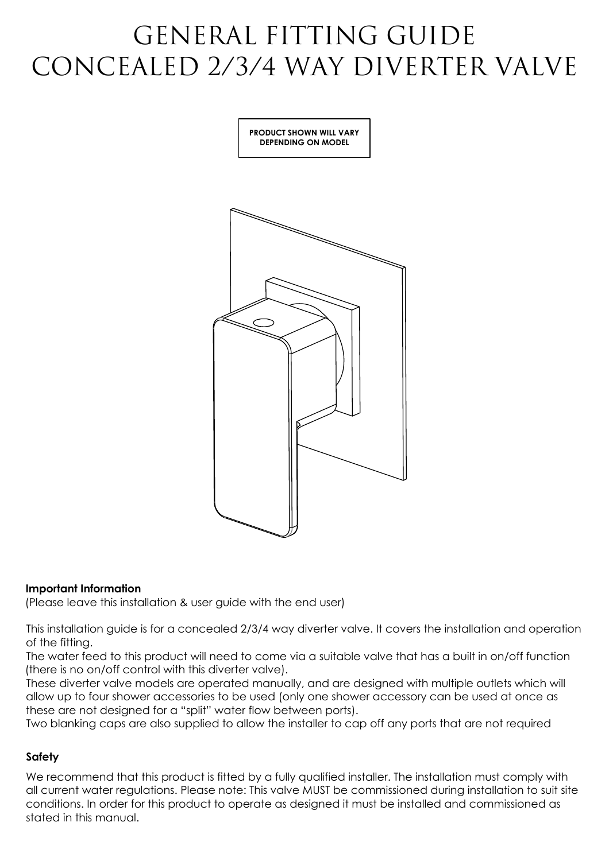# GENERAL FITTING GUIDE CONCEALED 2/3/4 WAY DIVERTER VALVE

**PRODUCT SHOWN WILL VARY DEPENDING ON MODEL**



### **Important Information**

(Please leave this installation & user guide with the end user)

This installation guide is for a concealed 2/3/4 way diverter valve. It covers the installation and operation of the fitting.

The water feed to this product will need to come via a suitable valve that has a built in on/off function (there is no on/off control with this diverter valve).

These diverter valve models are operated manually, and are designed with multiple outlets which will allow up to four shower accessories to be used (only one shower accessory can be used at once as these are not designed for a "split" water flow between ports).

Two blanking caps are also supplied to allow the installer to cap off any ports that are not required

## **Safety**

We recommend that this product is fitted by a fully qualified installer. The installation must comply with all current water regulations. Please note: This valve MUST be commissioned during installation to suit site conditions. In order for this product to operate as designed it must be installed and commissioned as stated in this manual.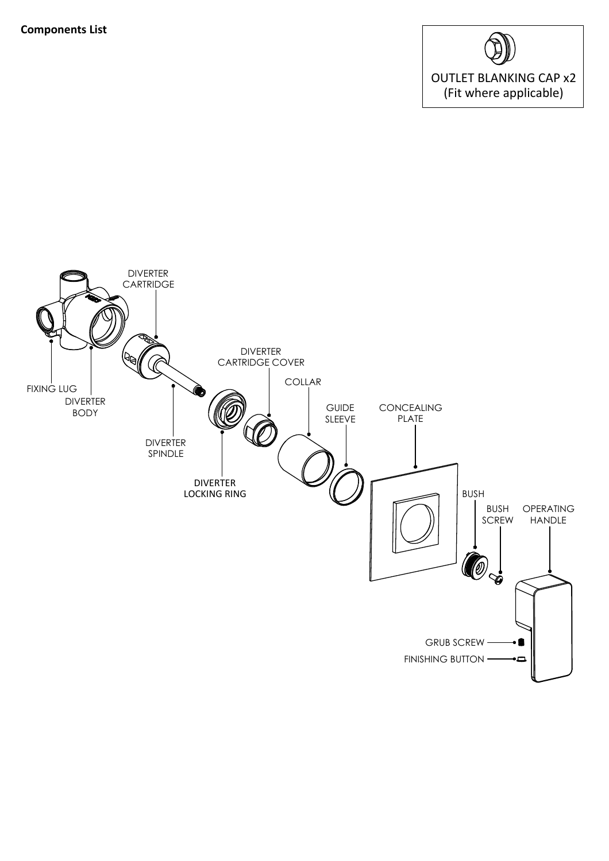

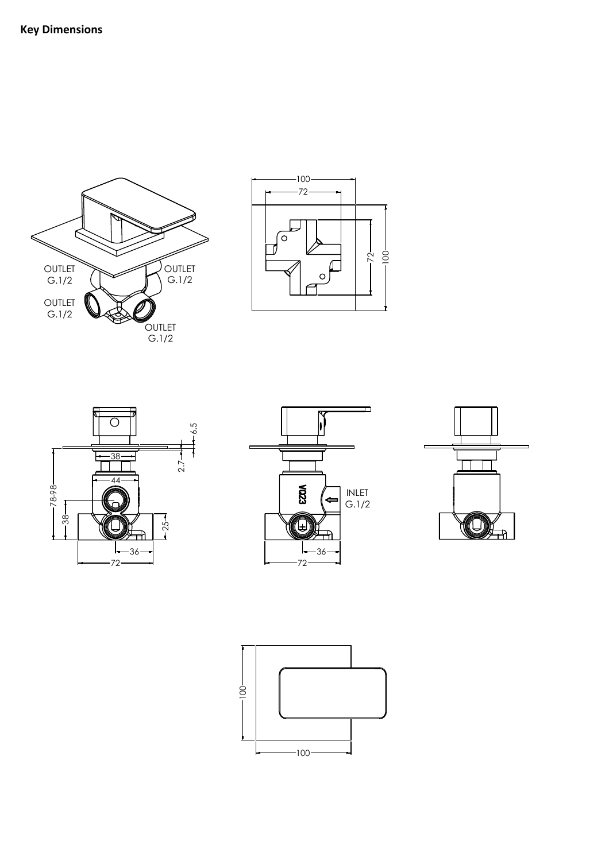